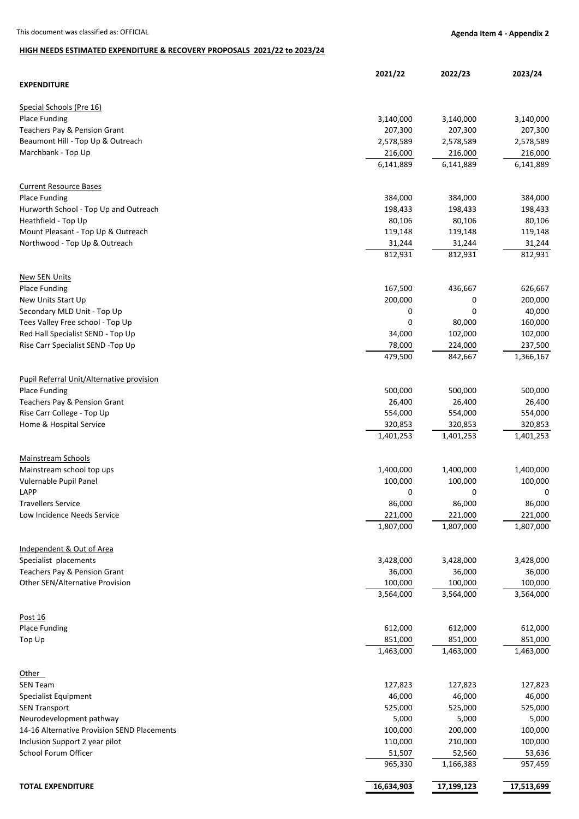## **HIGH NEEDS ESTIMATED EXPENDITURE & RECOVERY PROPOSALS 2021/22 to 2023/24**

|                                                       | 2021/22                           | 2022/23              | 2023/24              |
|-------------------------------------------------------|-----------------------------------|----------------------|----------------------|
| <b>EXPENDITURE</b>                                    |                                   |                      |                      |
| Special Schools (Pre 16)                              |                                   |                      |                      |
| <b>Place Funding</b>                                  | 3,140,000                         | 3,140,000            | 3,140,000            |
| Teachers Pay & Pension Grant                          | 207,300                           | 207,300              | 207,300              |
| Beaumont Hill - Top Up & Outreach                     | 2,578,589                         | 2,578,589            | 2,578,589            |
| Marchbank - Top Up                                    | 216,000                           | 216,000              | 216,000              |
|                                                       | 6,141,889                         | 6,141,889            | 6,141,889            |
|                                                       |                                   |                      |                      |
| <b>Current Resource Bases</b><br><b>Place Funding</b> | 384,000                           | 384,000              | 384,000              |
| Hurworth School - Top Up and Outreach                 | 198,433                           | 198,433              | 198,433              |
| Heathfield - Top Up                                   | 80,106                            | 80,106               | 80,106               |
|                                                       |                                   |                      |                      |
| Mount Pleasant - Top Up & Outreach                    | 119,148                           | 119,148              | 119,148              |
| Northwood - Top Up & Outreach                         | 31,244<br>812,931                 | 31,244<br>812,931    | 31,244<br>812,931    |
|                                                       |                                   |                      |                      |
| <b>New SEN Units</b>                                  |                                   |                      |                      |
| <b>Place Funding</b>                                  | 167,500                           | 436,667              | 626,667              |
| New Units Start Up                                    | 200,000                           | 0                    | 200,000              |
| Secondary MLD Unit - Top Up                           | 0                                 | 0                    | 40,000               |
| Tees Valley Free school - Top Up                      | 0                                 | 80,000               | 160,000              |
| Red Hall Specialist SEND - Top Up                     | 34,000                            | 102,000              | 102,000              |
| Rise Carr Specialist SEND -Top Up                     | 78,000                            | 224,000              | 237,500              |
|                                                       | 479,500                           | 842,667              | 1,366,167            |
| Pupil Referral Unit/Alternative provision             |                                   |                      |                      |
| <b>Place Funding</b>                                  | 500,000                           | 500,000              | 500,000              |
|                                                       |                                   |                      |                      |
| Teachers Pay & Pension Grant                          | 26,400                            | 26,400               | 26,400               |
| Rise Carr College - Top Up                            | 554,000                           | 554,000              | 554,000              |
| Home & Hospital Service                               | 320,853<br>$\overline{1,}401,253$ | 320,853<br>1,401,253 | 320,853<br>1,401,253 |
|                                                       |                                   |                      |                      |
| <b>Mainstream Schools</b>                             |                                   |                      |                      |
| Mainstream school top ups                             | 1,400,000                         | 1,400,000            | 1,400,000            |
| Vulernable Pupil Panel                                | 100,000                           | 100,000              | 100,000              |
| LAPP                                                  | 0                                 | 0                    | 0                    |
| Travellers Service                                    | 86,000                            | 86,000               | 86,000               |
| Low Incidence Needs Service                           | 221,000                           | 221,000              | 221,000              |
|                                                       | 1,807,000                         | 1,807,000            | 1,807,000            |
|                                                       |                                   |                      |                      |
| Independent & Out of Area<br>Specialist placements    | 3,428,000                         | 3,428,000            | 3,428,000            |
| Teachers Pay & Pension Grant                          | 36,000                            | 36,000               | 36,000               |
| Other SEN/Alternative Provision                       | 100,000                           | 100,000              | 100,000              |
|                                                       | 3,564,000                         | 3,564,000            | 3,564,000            |
|                                                       |                                   |                      |                      |
| Post 16                                               |                                   |                      |                      |
| <b>Place Funding</b>                                  | 612,000                           | 612,000              | 612,000              |
| Top Up                                                | 851,000<br>1,463,000              | 851,000<br>1,463,000 | 851,000<br>1,463,000 |
|                                                       |                                   |                      |                      |
| Other                                                 |                                   |                      |                      |
| <b>SEN Team</b>                                       | 127,823                           | 127,823              | 127,823              |
| Specialist Equipment                                  | 46,000                            | 46,000               | 46,000               |
| <b>SEN Transport</b>                                  | 525,000                           | 525,000              | 525,000              |
| Neurodevelopment pathway                              | 5,000                             | 5,000                | 5,000                |
| 14-16 Alternative Provision SEND Placements           | 100,000                           | 200,000              | 100,000              |
| Inclusion Support 2 year pilot                        | 110,000                           | 210,000              | 100,000              |
| School Forum Officer                                  | 51,507                            | 52,560               | 53,636               |
|                                                       | 965,330                           | 1,166,383            | 957,459              |
|                                                       |                                   |                      |                      |
| <b>TOTAL EXPENDITURE</b>                              | 16,634,903                        | 17,199,123           | 17,513,699           |